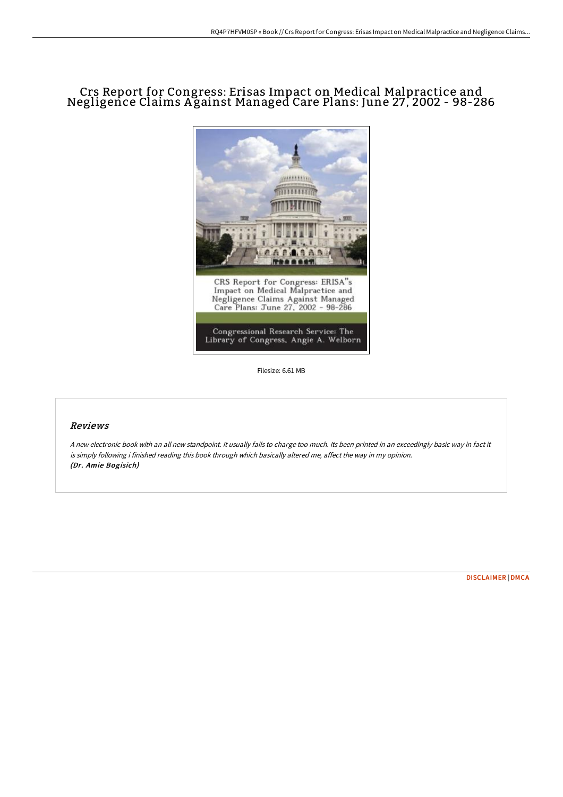## Crs Report for Congress: Erisas Impact on Medical Malpractice and Negligence Claims A gainst Managed Care Plans: June 27, 2002 - 98-286



Filesize: 6.61 MB

## Reviews

<sup>A</sup> new electronic book with an all new standpoint. It usually fails to charge too much. Its been printed in an exceedingly basic way in fact it is simply following i finished reading this book through which basically altered me, affect the way in my opinion. (Dr. Amie Bogisich)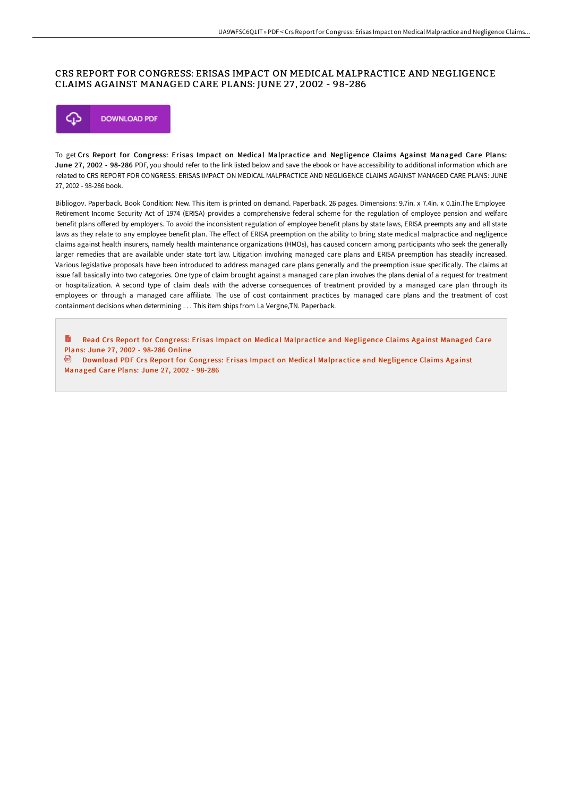## CRS REPORT FOR CONGRESS: ERISAS IMPACT ON MEDICAL MALPRACTICE AND NEGLIGENCE CLAIMS AGAINST MANAGED CARE PLANS: JUNE 27 , 2002 - 98-286



To get Crs Report for Congress: Erisas Impact on Medical Malpractice and Negligence Claims Against Managed Care Plans: June 27, 2002 - 98-286 PDF, you should refer to the link listed below and save the ebook or have accessibility to additional information which are related to CRS REPORT FOR CONGRESS: ERISAS IMPACT ON MEDICAL MALPRACTICE AND NEGLIGENCE CLAIMS AGAINST MANAGED CARE PLANS: JUNE 27, 2002 - 98-286 book.

Bibliogov. Paperback. Book Condition: New. This item is printed on demand. Paperback. 26 pages. Dimensions: 9.7in. x 7.4in. x 0.1in.The Employee Retirement Income Security Act of 1974 (ERISA) provides a comprehensive federal scheme for the regulation of employee pension and welfare benefit plans offered by employers. To avoid the inconsistent regulation of employee benefit plans by state laws, ERISA preempts any and all state laws as they relate to any employee benefit plan. The effect of ERISA preemption on the ability to bring state medical malpractice and negligence claims against health insurers, namely health maintenance organizations (HMOs), has caused concern among participants who seek the generally larger remedies that are available under state tort law. Litigation involving managed care plans and ERISA preemption has steadily increased. Various legislative proposals have been introduced to address managed care plans generally and the preemption issue specifically. The claims at issue fall basically into two categories. One type of claim brought against a managed care plan involves the plans denial of a request for treatment or hospitalization. A second type of claim deals with the adverse consequences of treatment provided by a managed care plan through its employees or through a managed care affiliate. The use of cost containment practices by managed care plans and the treatment of cost containment decisions when determining . . . This item ships from La Vergne,TN. Paperback.

h Read Crs Report for Congress: Erisas Impact on Medical [Malpractice](http://bookera.tech/crs-report-for-congress-erisas-impact-on-medical.html) and Negligence Claims Against Managed Care Plans: June 27, 2002 - 98-286 Online

<sup>n</sup> Download PDF Crs Report for Congress: Erisas Impact on Medical [Malpractice](http://bookera.tech/crs-report-for-congress-erisas-impact-on-medical.html) and Negligence Claims Against Managed Care Plans: June 27, 2002 - 98-286